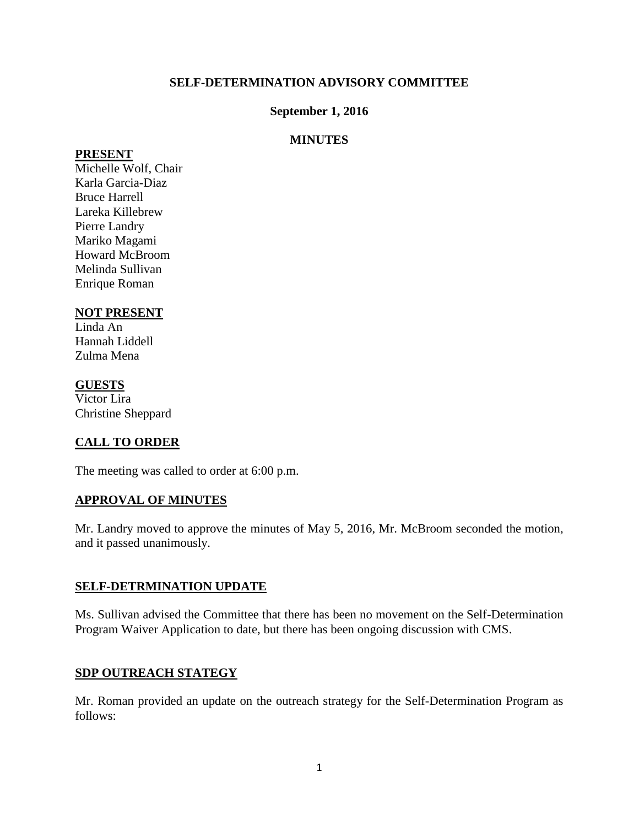### **SELF-DETERMINATION ADVISORY COMMITTEE**

### **September 1, 2016**

### **MINUTES**

#### **PRESENT**

Michelle Wolf, Chair Karla Garcia-Diaz Bruce Harrell Lareka Killebrew Pierre Landry Mariko Magami Howard McBroom Melinda Sullivan Enrique Roman

### **NOT PRESENT**

Linda An Hannah Liddell Zulma Mena

### **GUESTS**

Victor Lira Christine Sheppard

# **CALL TO ORDER**

The meeting was called to order at 6:00 p.m.

### **APPROVAL OF MINUTES**

Mr. Landry moved to approve the minutes of May 5, 2016, Mr. McBroom seconded the motion, and it passed unanimously.

### **SELF-DETRMINATION UPDATE**

Ms. Sullivan advised the Committee that there has been no movement on the Self-Determination Program Waiver Application to date, but there has been ongoing discussion with CMS.

### **SDP OUTREACH STATEGY**

Mr. Roman provided an update on the outreach strategy for the Self-Determination Program as follows: